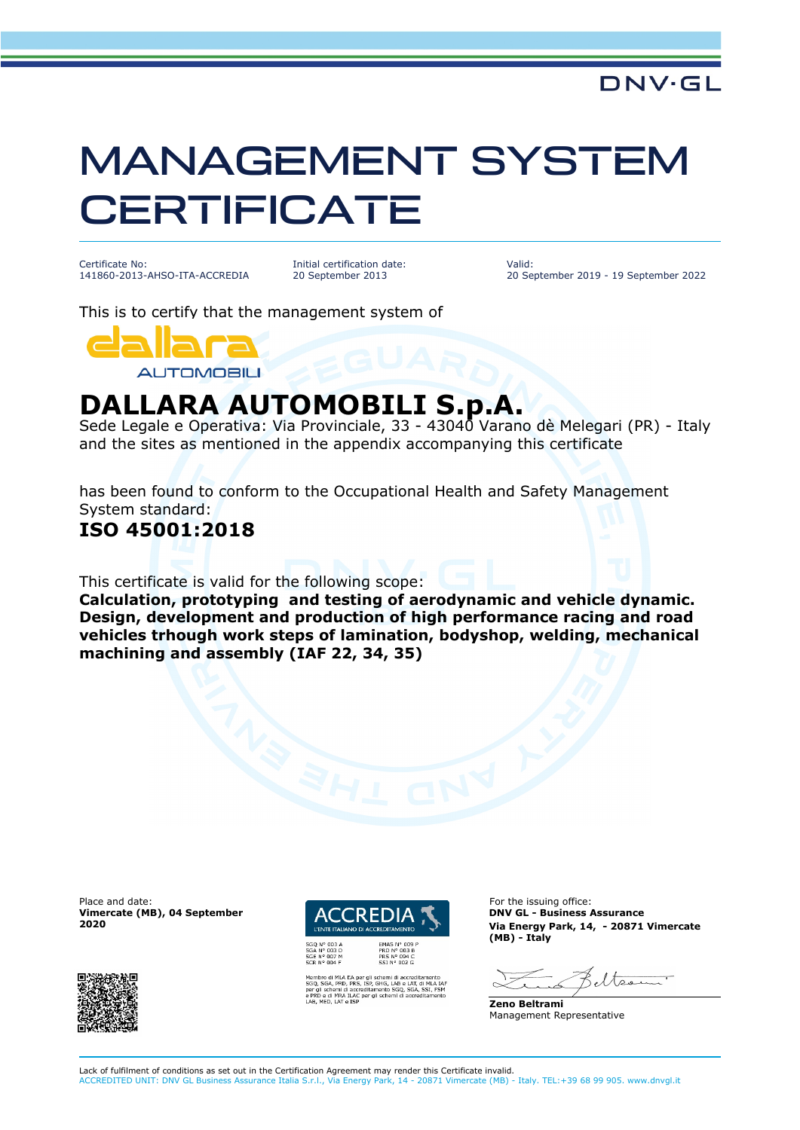# MANAGEMENT SYSTEM **CERTIFICATE**

Certificate No: 141860-2013-AHSO-ITA-ACCREDIA

Initial certification date: 20 September 2013

Valid: 20 September 2019 - 19 September 2022

This is to certify that the management system of



## **DALLARA AUTOMOBILI S.p.A.**

Sede Legale e Operativa: Via Provinciale, 33 - 43040 Varano dè Melegari (PR) - Italy and the sites as mentioned in the appendix accompanying this certificate

has been found to conform to the Occupational Health and Safety Management System standard:

### **ISO 45001:2018**

This certificate is valid for the following scope:

**Calculation, prototyping and testing of aerodynamic and vehicle dynamic. Design, development and production of high performance racing and road vehicles trhough work steps of lamination, bodyshop, welding, mechanical machining and assembly (IAF 22, 34, 35)**

Place and date: **For the issuing office:** For the issuing office: **Vimercate (MB), 04 September 2020**





SHG, LAB e LAT, di MLA<br>SHG, LAB e LAT, di MLA<br>sento SGQ, SGA, SSI, FS<br>schemi di accreditamer

**DNV GL - Business Assurance Via Energy Park, 14, - 20871 Vimercate (MB) - Italy**

 $\frac{1}{\sqrt{2}}$ 

**Zeno Beltrami** Management Representative